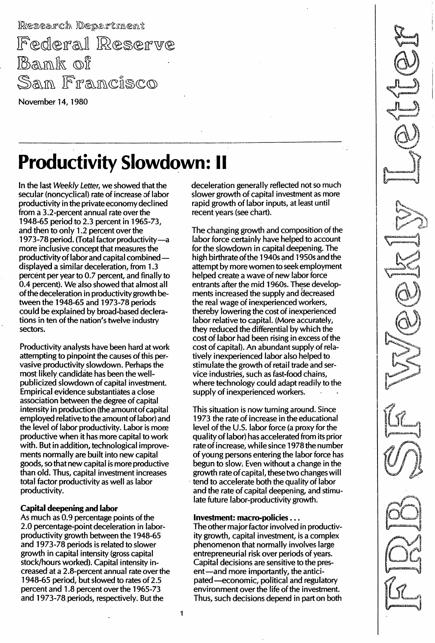Research Department Federal Reserve **Bank of** San Francisco

November 14, 1980

# **Productivity Slowdown: II**

In the last Weekly Letter, we showed that the secular (noncyclical) rate of increase of labor productivity in the private economy declined from a 3.2-percent annual rate over the 1 948-65 period to 2.3 percent in 1965-73, and then to only 1.2 percent over the 1973-78 period. (Total factor productivity-a more inclusive concept that measures the productivity of labor and capital combineddisplayed a similar deceleration, from 1.3 percent per year to 0.7 percent, and finally to 0.4 percent). We also showed that almost all of the deceleration in productivity growth between the 1 948-65 and 1 973-78 periods could be explained by broad-based declerations in ten of the nation's twelve industry sectors.

Productivity analysts have been hard at work attempting to pinpoint the causes of this pervasive productivity slowdown. Perhaps the most likely candidate has been the wellpublicized slowdown of capital investment. Empirical evidence substantiates a close association between the degree of capital intensity in production (the amountofcapital employed relative to the amount of labor) and the level of labor productivity. Labor is more productive when it has more capital to work with. But in addition, technological improvements normally are built into new capital goods, so that new capital is more productive than old. Thus, capital investment increases total factor productivity as well as labor productivity.

# Capital deepening and labor

As much as 0.9 percentage points of the 2.0 percentage-point deceleration in laborproductivity growth between the 1948-65 and 1973-78 periods is related to slower growth in capital intensity (gross capital stock/hours worked). Capital intensity increased at a 2.8-percent annual rate over the 1 948-65 period, but slowed to rates of 2.5 percent and 1.8 percent over the 1965-73 and 1973-78 periods, respectively. But the

deceleration generally reflected not so much slower growth of capital investment as more rapid growth of labor inputs, at least until recent years (see chart).

The changing growth and composition of the labor force certainly have helped to account for the slowdown in capital deepening. The high birthrate of the 1940s and 1950s and the attempt by more women to seek employment helped create a wave of new labor force entrants after the mid 1960s. These developments increased the supply and decreased the real wage of inexperienced workers, thereby lowering the cost of inexperienced labor relative to capital. (More accurately, they reduced the differential by which the cost of labor had been rising in excess of the cost of capital). An abundant supply of relatively inexperienced labor also helped to stimulate the growth of retail trade and service industries, such as fast-food chains, where technology could adapt readily to the supply of inexperienced workers.

This situation is now turning around. Since 1 973 the rate of increase in the educational level of the U.S. labor force (a proxy for the quality of labor) has accelerated from its prior rate of increase, while since 1978 the number of young persons entering the labor force has begun to slow; Even without a change in the growth rate of capital, these two changes will tend to accelerate both the quality of labor and the rate of capital deepening, and stimulate future labor-productivity growth.

# Investment: macro-policies ...

The other major factor involved in productivity growth, capital investment, is a complex phenomenon that normally involves large entrepreneurial risk over periods of years. Capital decisions are sensitive to the present-and more importantly, the anticipated -economic, political and regulatory environment over the life of the investment. Thus, such decisions depend in part on both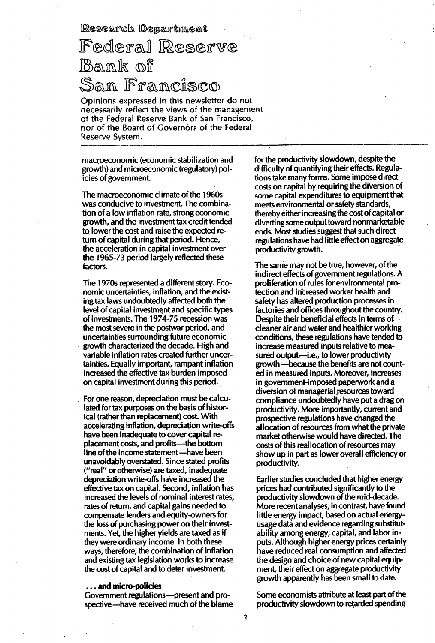Research Department

# Federal Reserve <u>Bank of </u> Sam Francisco

Opinions expressed in this newsletter do not necessarily reflect the views of the management of the Federal Reserve Bank of San Francisco, nor of the Board of Covernors of the Federal Reserve Systern.

macroeconomic (economic stabilization and growth) and microeconomic (regulatory) policies of government.

The macroeconomic climate of the 1960s was conducive to investment. The combination of a low inflation rate, strong economic growth, and the investment tax credit tended to lower the cost and raise the expected return of capital during that period. Hence, the acceleration in capital investment over the 1 965-73 period largely reflected these factors.

The 1970s represented a different story. Economic uncertainties, inflation, and the existing tax laws undoubtedly affected both the level of capital investment and specific types of investments. The 1 974-75 recession was the most severe in the postwar period, and uncertainties surrounding future economic growth characterized the decade. High and variable inflation rates created further uncertainties. Equally important, rampant inflation increased the effective tax burden imposed on capital investment during this period.

For one reason, depreciation must be calculated for tax purposes on the basis of historical (rather than replacement) cost. With accelerating inflation, depreciation write-offs have been inadequate to cover capital replacement costs, and profits—the bottom line of the income statement—have been unavoidably overstated. Since stated profits ("real" or otherwise) are taxed, inadequate depreciation write-offs have increased the effective tax on capital. Second, inflation has increased the levels of nominal interest rates, rates of return, and capital gains needed to compensate lenders and equ ity-owners for the loss of purchasing power on their investments. Yet, the higher yields are taxed as if they were ordinary income. In both these ways, therefore, the combination of inflation and existing tax legislation works to increase the cost of capital and to deter investment.

#### . . . and micro-policies

Government regulations-present and prospective-have received much of the blame for the productivity slowdown, despite the difficulty of quantifying their effects. Regulations take many forms. Some impose direct costs on capital by requiring the diversion of some capital expenditures to equipment that meets environmental or safety standards, thereby either increasing the cost of capital or diverting some output toward nonmarketable ends. Most studies suggest that such direct regulations have had little effect on aggregate productivity growth.

The same may not be true, however, of the indirect effects of government regulations. A proliferation of rules for environmental protection and increased worker health and safety has altered production processes in factories and offices throughout the country. Despite their beneficial effects in terms of cleaner air and water and healthier working conditions, these regulations have tended to increase measured inputs relative to measured output-i.e., to lower productivity growth -because the benefits are not counted in measured inputs. Moreover, increases in government-imposed paperwork and a diversion of managerial resources toward compliance undoubtedly have put a drag on productivity. More importantly, current and prospective regulations have changed the allocation of resources from what the private market otherwise would have directed. The costs of this reallocation of resources may show up in part as lower overall efficiency or productivity.

Earlier studies concluded that higher energy prices had contributed significantly to the productivity slowdown of the mid-decade. More recent analyses, in contrast, have found little energy impact, based on actual energyusage data and evidence regarding substitutability among energy, capital, and labor inputs. Although higher energy prices certainly have reduced real consumption and affected the design and choice of new capital equipment, their effect on aggregate productivity growth apparently has been small to date.

Some economists attribute at least part of the productivity slowdown to retarded spending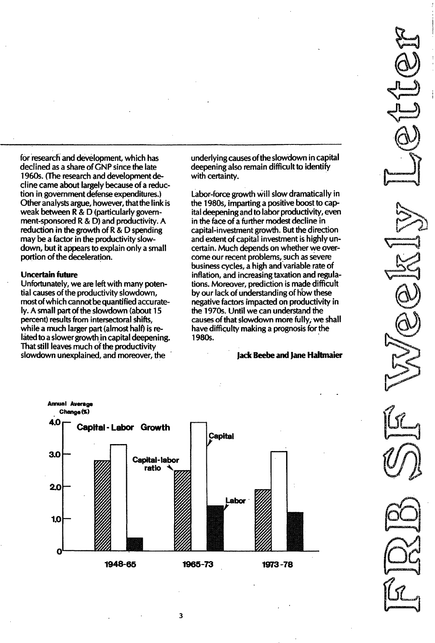for research and development, which has declined as a share of GNP since the late 1960s. (The research and development decline came about largely because of a reduction in government defense expenditures.) Other analysts argue, however, that the link is weak between R&D (particularly government-sponsored R&D) and productivity. A reduction in the growth of R&D spending may be a factor in the productivity slowdown, but it appears to explain only a small portion of the deceleration.

#### Uncertain future

Unfortunately, we are left with many potential causes of the productivity slowdown, most of which cannot be quantified accurately. A small part of the slowdown (about 15 percent) results from intersectoral shifts, while a much larger part (almost half) is related to a slower growth in capital deepening. That still leaves much of the productivity slowdown unexplained, and moreover, the

underlying causes ofthe slowdown in capital deepening also remain difficult to identify with certainty.

Labor-force growth will slow dramatically in the 1980s, imparting a positive boost to capital deepening and to labor productivity, even in the face of a further modest decline in capital-investment growth. But the direction and extent of capital investment is highly uncertain. Much depends on whether we overcome our recent problems, such as severe business cycles, a high and variable rate of inflation, and increasing taxation and regulations. Moreover, prediction is made difficult by our lack of understanding of how these negative factors impacted on productivity in the 1970s. Until we can understand the causes of that slowdown more fully, we shall have difficulty making a prognosis for the 1980s. .

### Jack Beebe and Jane Haltmaier